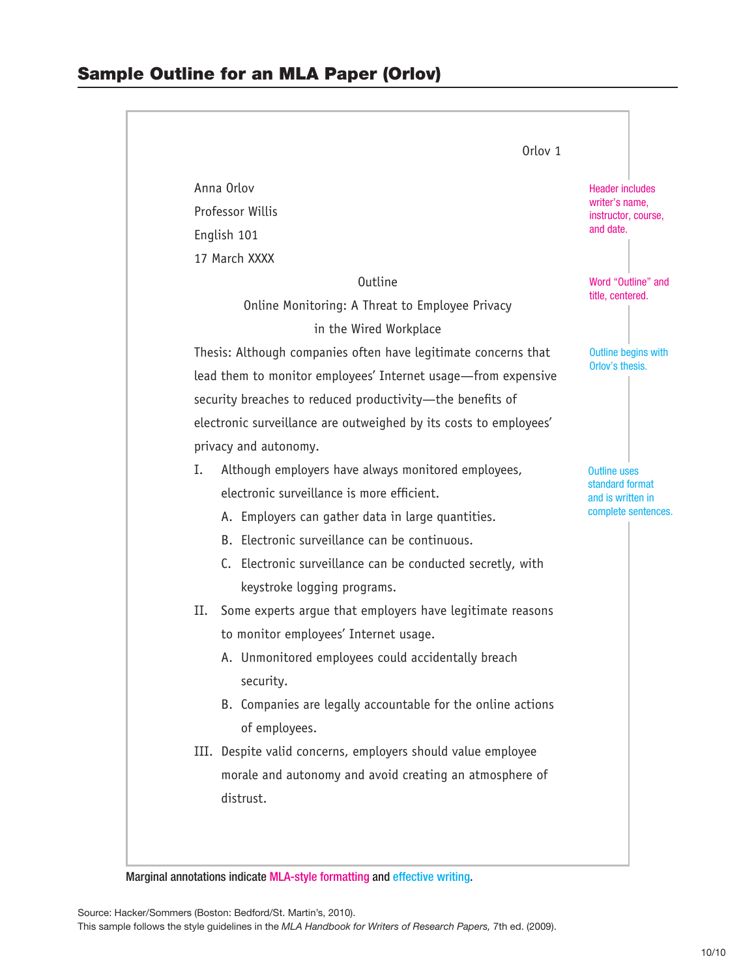|                                                                   | Orlov <sub>1</sub>                                          |                                          |  |
|-------------------------------------------------------------------|-------------------------------------------------------------|------------------------------------------|--|
| Anna Orlov                                                        |                                                             | <b>Header includes</b>                   |  |
| Professor Willis                                                  |                                                             | writer's name,<br>instructor, course,    |  |
| English 101                                                       |                                                             | and date.                                |  |
| 17 March XXXX                                                     |                                                             |                                          |  |
| <b>Outline</b>                                                    |                                                             | Word "Outline" and<br>title, centered.   |  |
| Online Monitoring: A Threat to Employee Privacy                   |                                                             |                                          |  |
| in the Wired Workplace                                            |                                                             |                                          |  |
| Thesis: Although companies often have legitimate concerns that    |                                                             | Outline begins with<br>Orlov's thesis.   |  |
| lead them to monitor employees' Internet usage—from expensive     |                                                             |                                          |  |
| security breaches to reduced productivity-the benefits of         |                                                             |                                          |  |
| electronic surveillance are outweighed by its costs to employees' |                                                             |                                          |  |
| privacy and autonomy.                                             |                                                             |                                          |  |
| Ι.<br>Although employers have always monitored employees,         |                                                             | <b>Outline uses</b><br>standard format   |  |
| electronic surveillance is more efficient.                        |                                                             | and is written in<br>complete sentences. |  |
| A. Employers can gather data in large quantities.                 |                                                             |                                          |  |
| B. Electronic surveillance can be continuous.                     |                                                             |                                          |  |
| C. Electronic surveillance can be conducted secretly, with        |                                                             |                                          |  |
| keystroke logging programs.                                       |                                                             |                                          |  |
| П.                                                                | Some experts argue that employers have legitimate reasons   |                                          |  |
| to monitor employees' Internet usage.                             |                                                             |                                          |  |
| A. Unmonitored employees could accidentally breach<br>security.   |                                                             |                                          |  |
|                                                                   | B. Companies are legally accountable for the online actions |                                          |  |
| of employees.                                                     |                                                             |                                          |  |
| III. Despite valid concerns, employers should value employee      |                                                             |                                          |  |
| morale and autonomy and avoid creating an atmosphere of           |                                                             |                                          |  |
| distrust.                                                         |                                                             |                                          |  |

Marginal annotations indicate MLA-style formatting and effective writing.

Source: Hacker/Sommers (Boston: Bedford/St. Martin's, 2010). This sample follows the style guidelines in the *MLA Handbook for Writers of Research Papers,* 7th ed. (2009).